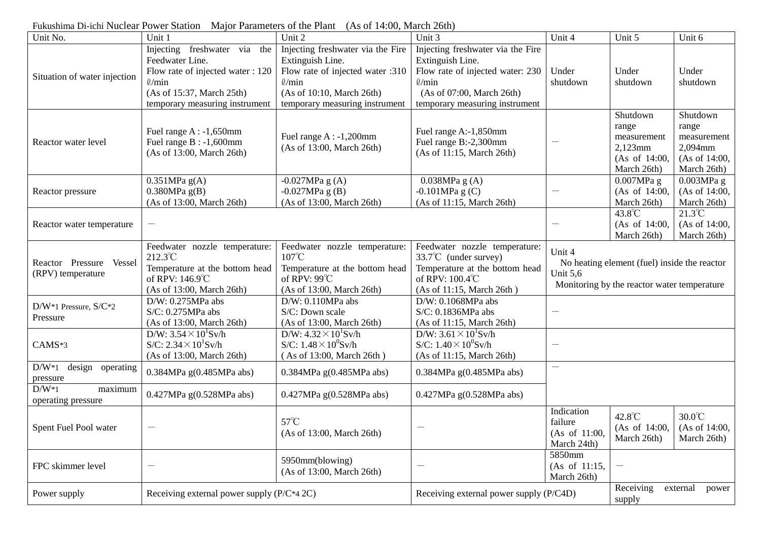| Unit No.                                        | Unit 1                                                                                                                                                             | Unit 2                                                                                                                                                                  | Unit 3                                                                                                                                                                  | Unit 4                                                                                                                   | Unit 5                                                                      | Unit 6                                                                      |
|-------------------------------------------------|--------------------------------------------------------------------------------------------------------------------------------------------------------------------|-------------------------------------------------------------------------------------------------------------------------------------------------------------------------|-------------------------------------------------------------------------------------------------------------------------------------------------------------------------|--------------------------------------------------------------------------------------------------------------------------|-----------------------------------------------------------------------------|-----------------------------------------------------------------------------|
| Situation of water injection                    | Injecting freshwater via the<br>Feedwater Line.<br>Flow rate of injected water : 120<br>$\ell$ /min<br>(As of 15:37, March 25th)<br>temporary measuring instrument | Injecting freshwater via the Fire<br>Extinguish Line.<br>Flow rate of injected water :310<br>$\ell$ /min<br>(As of 10:10, March 26th)<br>temporary measuring instrument | Injecting freshwater via the Fire<br>Extinguish Line.<br>Flow rate of injected water: 230<br>$\ell$ /min<br>(As of 07:00, March 26th)<br>temporary measuring instrument | Under<br>shutdown                                                                                                        | Under<br>shutdown                                                           | Under<br>shutdown                                                           |
| Reactor water level                             | Fuel range $A : -1,650$ mm<br>Fuel range $B : -1,600$ mm<br>(As of 13:00, March 26th)                                                                              | Fuel range $A : -1,200$ mm<br>(As of 13:00, March 26th)                                                                                                                 | Fuel range A:-1,850mm<br>Fuel range B:-2,300mm<br>(As of 11:15, March 26th)                                                                                             |                                                                                                                          | Shutdown<br>range<br>measurement<br>2,123mm<br>(As of 14:00,<br>March 26th) | Shutdown<br>range<br>measurement<br>2,094mm<br>(As of 14:00,<br>March 26th) |
| Reactor pressure                                | $0.351MPa$ g(A)<br>$0.380MPa$ g(B)<br>(As of 13:00, March 26th)                                                                                                    | $-0.027MPa$ g (A)<br>$-0.027MPa$ g (B)<br>(As of 13:00, March 26th)                                                                                                     | 0.038MPa g (A)<br>$-0.101MPa$ g (C)<br>(As of 11:15, March 26th)                                                                                                        |                                                                                                                          | $0.007MPa$ g<br>(As of 14:00,<br>March 26th)                                | 0.003MPa g<br>(As of 14:00,<br>March 26th)                                  |
| Reactor water temperature                       |                                                                                                                                                                    |                                                                                                                                                                         |                                                                                                                                                                         |                                                                                                                          | 43.8°C<br>(As of 14:00,<br>March 26th)                                      | $21.3^{\circ}C$<br>(As of 14:00,<br>March 26th)                             |
| Reactor Pressure<br>Vessel<br>(RPV) temperature | Feedwater nozzle temperature:<br>212.3°C<br>Temperature at the bottom head<br>of RPV: 146.9°C<br>(As of 13:00, March 26th)                                         | Feedwater nozzle temperature:<br>$107^{\circ}$ C<br>Temperature at the bottom head<br>of RPV: $99^{\circ}$ C<br>(As of 13:00, March 26th)                               | Feedwater nozzle temperature:<br>$33.7^{\circ}$ C (under survey)<br>Temperature at the bottom head<br>of RPV: 100.4°C<br>(As of 11:15, March 26th)                      | Unit 4<br>No heating element (fuel) inside the reactor<br><b>Unit 5,6</b><br>Monitoring by the reactor water temperature |                                                                             |                                                                             |
| $D/W^*1$ Pressure, $S/C^*2$<br>Pressure         | $D/W: 0.275MPa$ abs<br>S/C: 0.275MPa abs<br>(As of 13:00, March 26th)                                                                                              | D/W: 0.110MPa abs<br>S/C: Down scale<br>(As of 13:00, March 26th)                                                                                                       | D/W: 0.1068MPa abs<br>S/C: 0.1836MPa abs<br>(As of 11:15, March 26th)                                                                                                   |                                                                                                                          |                                                                             |                                                                             |
| CAMS*3                                          | D/W: $3.54 \times 10^{1}$ Sv/h<br>$S/C: 2.34 \times 10^1$ Sv/h<br>(As of 13:00, March 26th)                                                                        | D/W: $4.32 \times 10^{1}$ Sv/h<br>S/C: $1.48 \times 10^0$ Sv/h<br>(As of 13:00, March 26th)                                                                             | D/W: $3.61 \times 10^{1}$ Sv/h<br>S/C: $1.40 \times 10^0$ Sv/h<br>(As of 11:15, March 26th)                                                                             |                                                                                                                          |                                                                             |                                                                             |
| $D/W^*1$<br>design operating<br>pressure        | 0.384MPa g(0.485MPa abs)                                                                                                                                           | 0.384MPa g(0.485MPa abs)                                                                                                                                                | $0.384MPa$ g( $0.485MPa$ abs)                                                                                                                                           | $\overline{\phantom{m}}$                                                                                                 |                                                                             |                                                                             |
| $D/W^*1$<br>maximum<br>operating pressure       | 0.427MPa g(0.528MPa abs)                                                                                                                                           | 0.427MPa g(0.528MPa abs)                                                                                                                                                | 0.427MPa g(0.528MPa abs)                                                                                                                                                |                                                                                                                          |                                                                             |                                                                             |
| Spent Fuel Pool water                           |                                                                                                                                                                    | $57^{\circ}$ C<br>(As of 13:00, March 26th)                                                                                                                             |                                                                                                                                                                         | Indication<br>failure<br>(As of 11:00,<br>March 24th)                                                                    | 42.8°C<br>(As of 14:00,<br>March 26th)                                      | $30.0^{\circ}$ C<br>(As of 14:00,<br>March 26th)                            |
| FPC skimmer level                               | $\overline{\phantom{m}}$                                                                                                                                           | 5950mm(blowing)<br>(As of 13:00, March 26th)                                                                                                                            | $\overline{\phantom{m}}$                                                                                                                                                | 5850mm<br>(As of 11:15,<br>March 26th)                                                                                   |                                                                             |                                                                             |
| Power supply                                    | Receiving external power supply (P/C*4 2C)                                                                                                                         |                                                                                                                                                                         | Receiving external power supply (P/C4D)                                                                                                                                 |                                                                                                                          | Receiving<br>external<br>power<br>supply                                    |                                                                             |

Fukushima Di-ichi Nuclear Power Station Major Parameters of the Plant (As of 14:00, March 26th)